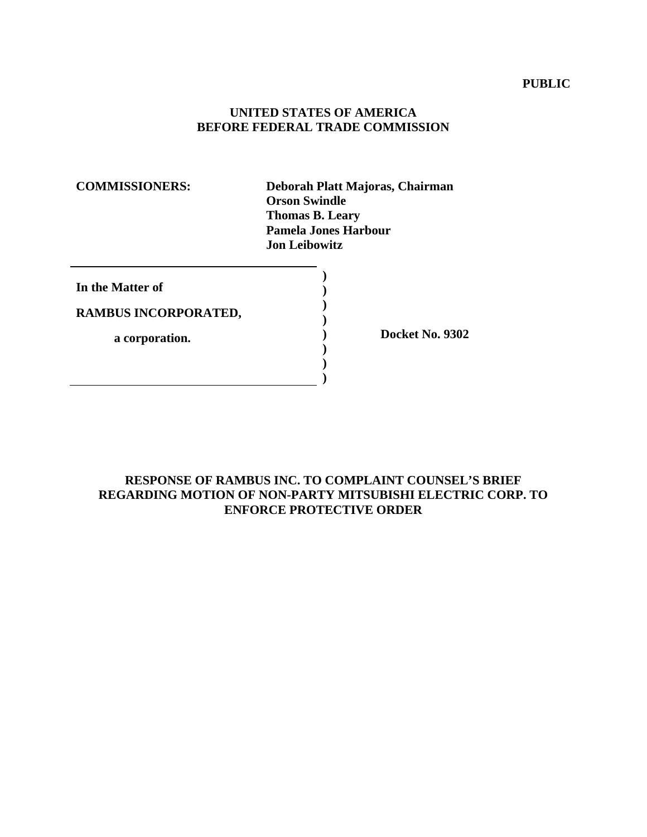## **PUBLIC**

## **UNITED STATES OF AMERICA BEFORE FEDERAL TRADE COMMISSION**

**COMMISSIONERS: Deborah Platt Majoras, Chairman Orson Swindle Thomas B. Leary Pamela Jones Harbour Jon Leibowitz** 

| In the Matter of     |  |
|----------------------|--|
| RAMBUS INCORPORATED, |  |
| a corporation.       |  |
|                      |  |

**) Docket No. 9302** 

# **RESPONSE OF RAMBUS INC. TO COMPLAINT COUNSEL'S BRIEF REGARDING MOTION OF NON-PARTY MITSUBISHI ELECTRIC CORP. TO ENFORCE PROTECTIVE ORDER**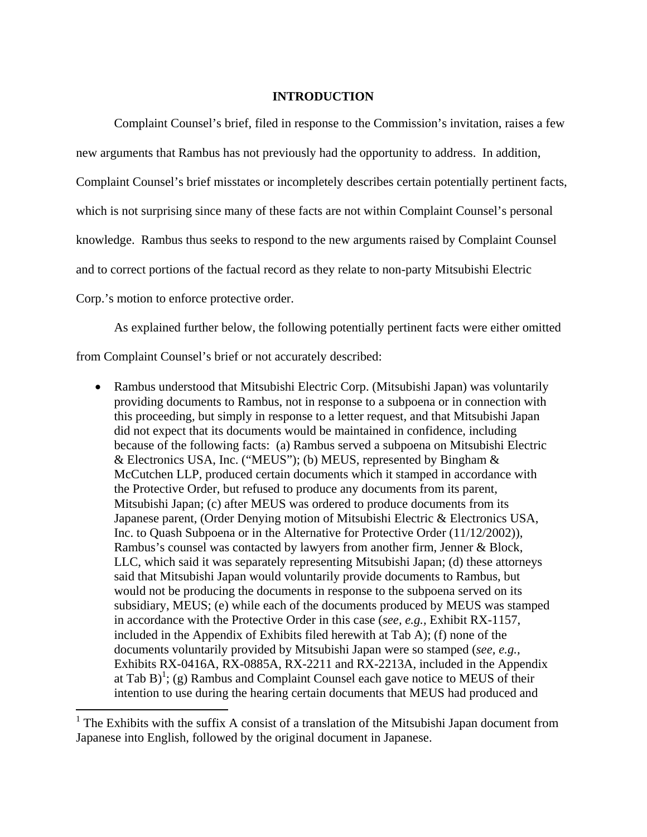## **INTRODUCTION**

Complaint Counsel's brief, filed in response to the Commission's invitation, raises a few new arguments that Rambus has not previously had the opportunity to address. In addition, Complaint Counsel's brief misstates or incompletely describes certain potentially pertinent facts, which is not surprising since many of these facts are not within Complaint Counsel's personal knowledge. Rambus thus seeks to respond to the new arguments raised by Complaint Counsel and to correct portions of the factual record as they relate to non-party Mitsubishi Electric Corp.'s motion to enforce protective order.

As explained further below, the following potentially pertinent facts were either omitted from Complaint Counsel's brief or not accurately described:

• Rambus understood that Mitsubishi Electric Corp. (Mitsubishi Japan) was voluntarily providing documents to Rambus, not in response to a subpoena or in connection with this proceeding, but simply in response to a letter request, and that Mitsubishi Japan did not expect that its documents would be maintained in confidence, including because of the following facts: (a) Rambus served a subpoena on Mitsubishi Electric & Electronics USA, Inc. ("MEUS"); (b) MEUS, represented by Bingham & McCutchen LLP, produced certain documents which it stamped in accordance with the Protective Order, but refused to produce any documents from its parent, Mitsubishi Japan; (c) after MEUS was ordered to produce documents from its Japanese parent, (Order Denying motion of Mitsubishi Electric & Electronics USA, Inc. to Quash Subpoena or in the Alternative for Protective Order (11/12/2002)), Rambus's counsel was contacted by lawyers from another firm, Jenner & Block, LLC, which said it was separately representing Mitsubishi Japan; (d) these attorneys said that Mitsubishi Japan would voluntarily provide documents to Rambus, but would not be producing the documents in response to the subpoena served on its subsidiary, MEUS; (e) while each of the documents produced by MEUS was stamped in accordance with the Protective Order in this case (*see, e.g.,* Exhibit RX-1157, included in the Appendix of Exhibits filed herewith at Tab A); (f) none of the documents voluntarily provided by Mitsubishi Japan were so stamped (*see, e.g.,*  Exhibits RX-0416A, RX-0885A, RX-2211 and RX-2213A, included in the Appendix at Tab B<sup> $\left($ </sup>; (g) Rambus and Complaint Counsel each gave notice to MEUS of their intention to use during the hearing certain documents that MEUS had produced and

<sup>&</sup>lt;sup>1</sup> The Exhibits with the suffix A consist of a translation of the Mitsubishi Japan document from Japanese into English, followed by the original document in Japanese.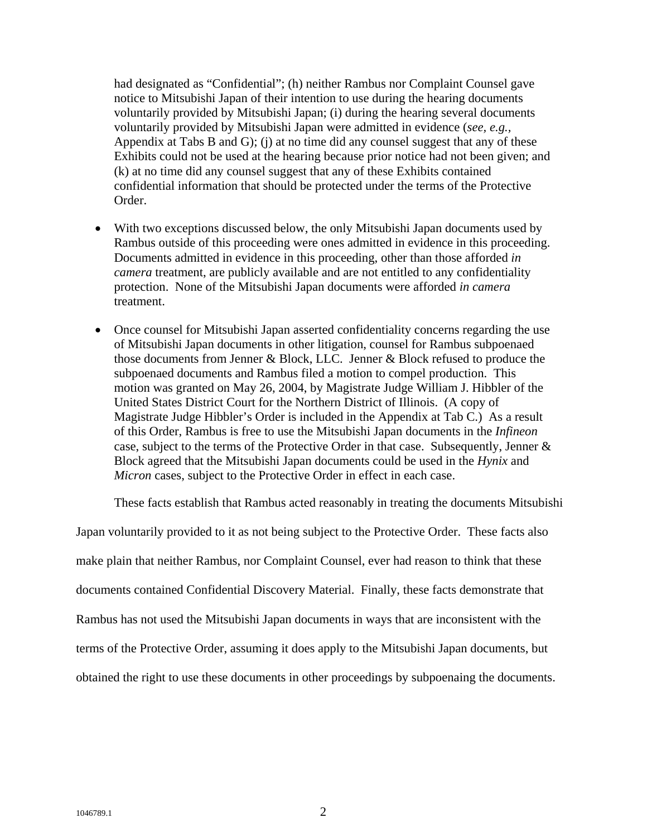had designated as "Confidential"; (h) neither Rambus nor Complaint Counsel gave notice to Mitsubishi Japan of their intention to use during the hearing documents voluntarily provided by Mitsubishi Japan; (i) during the hearing several documents voluntarily provided by Mitsubishi Japan were admitted in evidence (*see, e.g.,*  Appendix at Tabs B and G); (j) at no time did any counsel suggest that any of these Exhibits could not be used at the hearing because prior notice had not been given; and (k) at no time did any counsel suggest that any of these Exhibits contained confidential information that should be protected under the terms of the Protective Order.

- With two exceptions discussed below, the only Mitsubishi Japan documents used by Rambus outside of this proceeding were ones admitted in evidence in this proceeding. Documents admitted in evidence in this proceeding, other than those afforded *in camera* treatment, are publicly available and are not entitled to any confidentiality protection. None of the Mitsubishi Japan documents were afforded *in camera* treatment.
- Once counsel for Mitsubishi Japan asserted confidentiality concerns regarding the use of Mitsubishi Japan documents in other litigation, counsel for Rambus subpoenaed those documents from Jenner & Block, LLC. Jenner & Block refused to produce the subpoenaed documents and Rambus filed a motion to compel production. This motion was granted on May 26, 2004, by Magistrate Judge William J. Hibbler of the United States District Court for the Northern District of Illinois. (A copy of Magistrate Judge Hibbler's Order is included in the Appendix at Tab C.) As a result of this Order, Rambus is free to use the Mitsubishi Japan documents in the *Infineon*  case, subject to the terms of the Protective Order in that case. Subsequently, Jenner & Block agreed that the Mitsubishi Japan documents could be used in the *Hynix* and *Micron* cases, subject to the Protective Order in effect in each case.

These facts establish that Rambus acted reasonably in treating the documents Mitsubishi

Japan voluntarily provided to it as not being subject to the Protective Order. These facts also make plain that neither Rambus, nor Complaint Counsel, ever had reason to think that these documents contained Confidential Discovery Material. Finally, these facts demonstrate that Rambus has not used the Mitsubishi Japan documents in ways that are inconsistent with the terms of the Protective Order, assuming it does apply to the Mitsubishi Japan documents, but obtained the right to use these documents in other proceedings by subpoenaing the documents.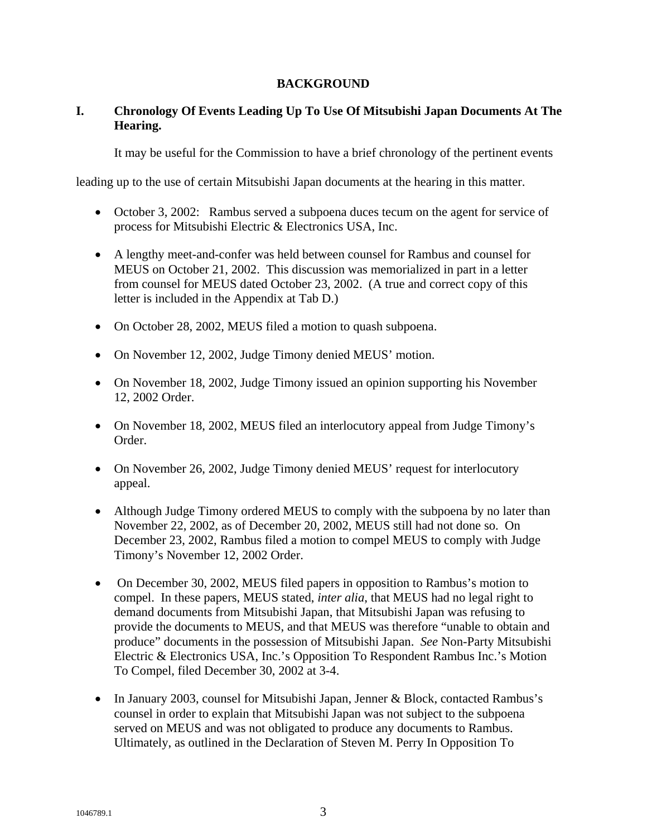# **BACKGROUND**

# **I. Chronology Of Events Leading Up To Use Of Mitsubishi Japan Documents At The Hearing.**

It may be useful for the Commission to have a brief chronology of the pertinent events

leading up to the use of certain Mitsubishi Japan documents at the hearing in this matter.

- October 3, 2002: Rambus served a subpoena duces tecum on the agent for service of process for Mitsubishi Electric & Electronics USA, Inc.
- A lengthy meet-and-confer was held between counsel for Rambus and counsel for MEUS on October 21, 2002. This discussion was memorialized in part in a letter from counsel for MEUS dated October 23, 2002. (A true and correct copy of this letter is included in the Appendix at Tab D.)
- On October 28, 2002, MEUS filed a motion to quash subpoena.
- On November 12, 2002, Judge Timony denied MEUS' motion.
- On November 18, 2002, Judge Timony issued an opinion supporting his November 12, 2002 Order.
- On November 18, 2002, MEUS filed an interlocutory appeal from Judge Timony's Order.
- On November 26, 2002, Judge Timony denied MEUS' request for interlocutory appeal.
- Although Judge Timony ordered MEUS to comply with the subpoena by no later than November 22, 2002, as of December 20, 2002, MEUS still had not done so. On December 23, 2002, Rambus filed a motion to compel MEUS to comply with Judge Timony's November 12, 2002 Order.
- On December 30, 2002, MEUS filed papers in opposition to Rambus's motion to compel. In these papers, MEUS stated, *inter alia*, that MEUS had no legal right to demand documents from Mitsubishi Japan, that Mitsubishi Japan was refusing to provide the documents to MEUS, and that MEUS was therefore "unable to obtain and produce" documents in the possession of Mitsubishi Japan. *See* Non-Party Mitsubishi Electric & Electronics USA, Inc.'s Opposition To Respondent Rambus Inc.'s Motion To Compel, filed December 30, 2002 at 3-4.
- In January 2003, counsel for Mitsubishi Japan, Jenner & Block, contacted Rambus's counsel in order to explain that Mitsubishi Japan was not subject to the subpoena served on MEUS and was not obligated to produce any documents to Rambus. Ultimately, as outlined in the Declaration of Steven M. Perry In Opposition To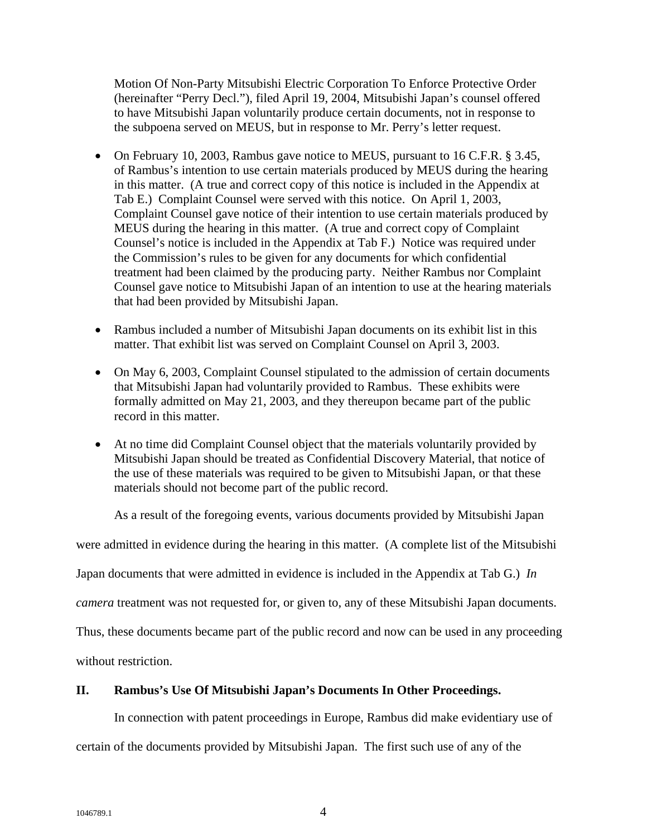Motion Of Non-Party Mitsubishi Electric Corporation To Enforce Protective Order (hereinafter "Perry Decl."), filed April 19, 2004, Mitsubishi Japan's counsel offered to have Mitsubishi Japan voluntarily produce certain documents, not in response to the subpoena served on MEUS, but in response to Mr. Perry's letter request.

- On February 10, 2003, Rambus gave notice to MEUS, pursuant to 16 C.F.R. § 3.45, of Rambus's intention to use certain materials produced by MEUS during the hearing in this matter. (A true and correct copy of this notice is included in the Appendix at Tab E.) Complaint Counsel were served with this notice. On April 1, 2003, Complaint Counsel gave notice of their intention to use certain materials produced by MEUS during the hearing in this matter. (A true and correct copy of Complaint Counsel's notice is included in the Appendix at Tab F.) Notice was required under the Commission's rules to be given for any documents for which confidential treatment had been claimed by the producing party. Neither Rambus nor Complaint Counsel gave notice to Mitsubishi Japan of an intention to use at the hearing materials that had been provided by Mitsubishi Japan.
- Rambus included a number of Mitsubishi Japan documents on its exhibit list in this matter. That exhibit list was served on Complaint Counsel on April 3, 2003.
- On May 6, 2003, Complaint Counsel stipulated to the admission of certain documents that Mitsubishi Japan had voluntarily provided to Rambus. These exhibits were formally admitted on May 21, 2003, and they thereupon became part of the public record in this matter.
- At no time did Complaint Counsel object that the materials voluntarily provided by Mitsubishi Japan should be treated as Confidential Discovery Material, that notice of the use of these materials was required to be given to Mitsubishi Japan, or that these materials should not become part of the public record.

As a result of the foregoing events, various documents provided by Mitsubishi Japan

were admitted in evidence during the hearing in this matter. (A complete list of the Mitsubishi

Japan documents that were admitted in evidence is included in the Appendix at Tab G.) *In* 

*camera* treatment was not requested for, or given to, any of these Mitsubishi Japan documents.

Thus, these documents became part of the public record and now can be used in any proceeding

without restriction.

## **II. Rambus's Use Of Mitsubishi Japan's Documents In Other Proceedings.**

In connection with patent proceedings in Europe, Rambus did make evidentiary use of

certain of the documents provided by Mitsubishi Japan. The first such use of any of the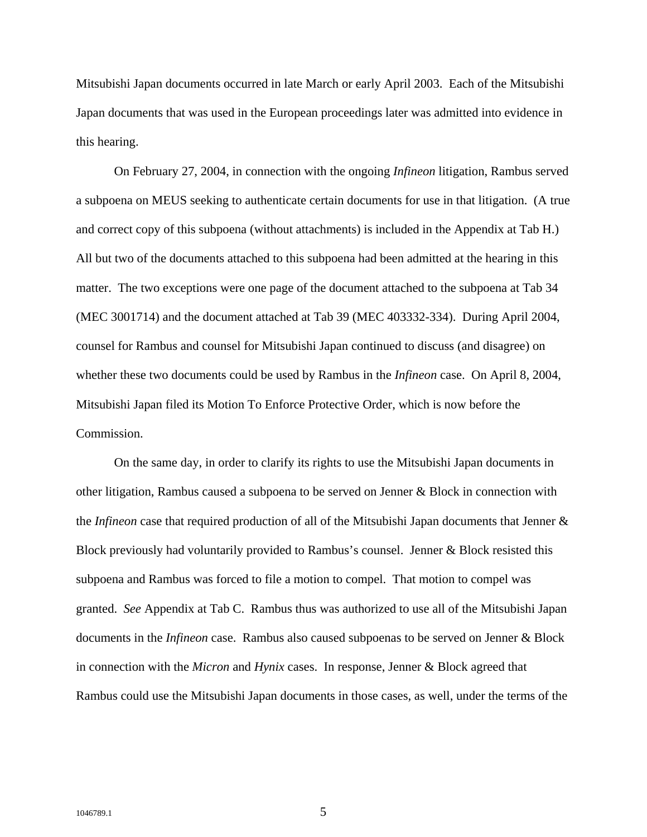Mitsubishi Japan documents occurred in late March or early April 2003. Each of the Mitsubishi Japan documents that was used in the European proceedings later was admitted into evidence in this hearing.

On February 27, 2004, in connection with the ongoing *Infineon* litigation, Rambus served a subpoena on MEUS seeking to authenticate certain documents for use in that litigation. (A true and correct copy of this subpoena (without attachments) is included in the Appendix at Tab H.) All but two of the documents attached to this subpoena had been admitted at the hearing in this matter. The two exceptions were one page of the document attached to the subpoena at Tab 34 (MEC 3001714) and the document attached at Tab 39 (MEC 403332-334). During April 2004, counsel for Rambus and counsel for Mitsubishi Japan continued to discuss (and disagree) on whether these two documents could be used by Rambus in the *Infineon* case. On April 8, 2004, Mitsubishi Japan filed its Motion To Enforce Protective Order, which is now before the Commission.

On the same day, in order to clarify its rights to use the Mitsubishi Japan documents in other litigation, Rambus caused a subpoena to be served on Jenner & Block in connection with the *Infineon* case that required production of all of the Mitsubishi Japan documents that Jenner & Block previously had voluntarily provided to Rambus's counsel. Jenner & Block resisted this subpoena and Rambus was forced to file a motion to compel. That motion to compel was granted. *See* Appendix at Tab C. Rambus thus was authorized to use all of the Mitsubishi Japan documents in the *Infineon* case. Rambus also caused subpoenas to be served on Jenner & Block in connection with the *Micron* and *Hynix* cases. In response, Jenner & Block agreed that Rambus could use the Mitsubishi Japan documents in those cases, as well, under the terms of the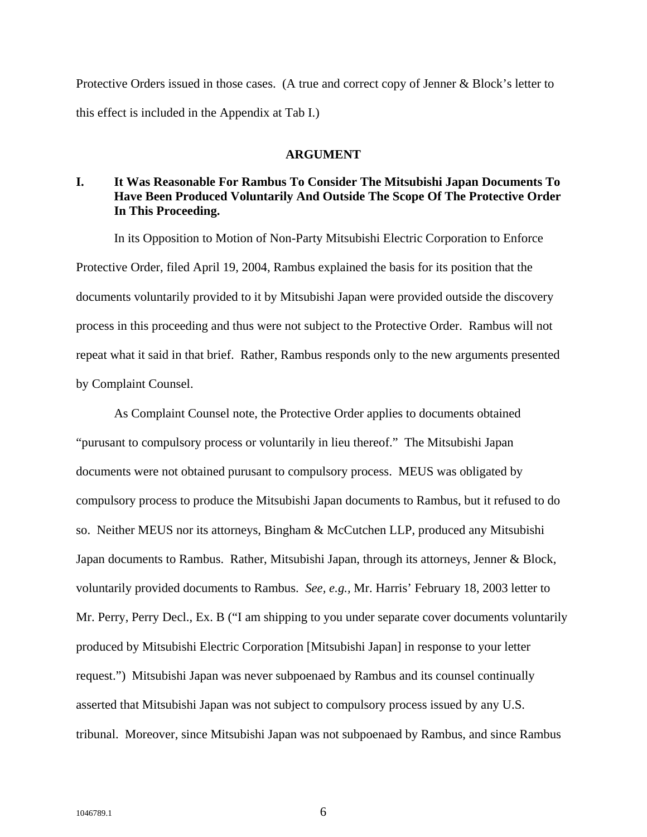Protective Orders issued in those cases. (A true and correct copy of Jenner & Block's letter to this effect is included in the Appendix at Tab I.)

#### **ARGUMENT**

# **I. It Was Reasonable For Rambus To Consider The Mitsubishi Japan Documents To Have Been Produced Voluntarily And Outside The Scope Of The Protective Order In This Proceeding.**

In its Opposition to Motion of Non-Party Mitsubishi Electric Corporation to Enforce Protective Order, filed April 19, 2004, Rambus explained the basis for its position that the documents voluntarily provided to it by Mitsubishi Japan were provided outside the discovery process in this proceeding and thus were not subject to the Protective Order. Rambus will not repeat what it said in that brief. Rather, Rambus responds only to the new arguments presented by Complaint Counsel.

As Complaint Counsel note, the Protective Order applies to documents obtained "purusant to compulsory process or voluntarily in lieu thereof." The Mitsubishi Japan documents were not obtained purusant to compulsory process. MEUS was obligated by compulsory process to produce the Mitsubishi Japan documents to Rambus, but it refused to do so. Neither MEUS nor its attorneys, Bingham & McCutchen LLP, produced any Mitsubishi Japan documents to Rambus. Rather, Mitsubishi Japan, through its attorneys, Jenner & Block, voluntarily provided documents to Rambus. *See, e.g.,* Mr. Harris' February 18, 2003 letter to Mr. Perry, Perry Decl., Ex. B ("I am shipping to you under separate cover documents voluntarily produced by Mitsubishi Electric Corporation [Mitsubishi Japan] in response to your letter request.") Mitsubishi Japan was never subpoenaed by Rambus and its counsel continually asserted that Mitsubishi Japan was not subject to compulsory process issued by any U.S. tribunal. Moreover, since Mitsubishi Japan was not subpoenaed by Rambus, and since Rambus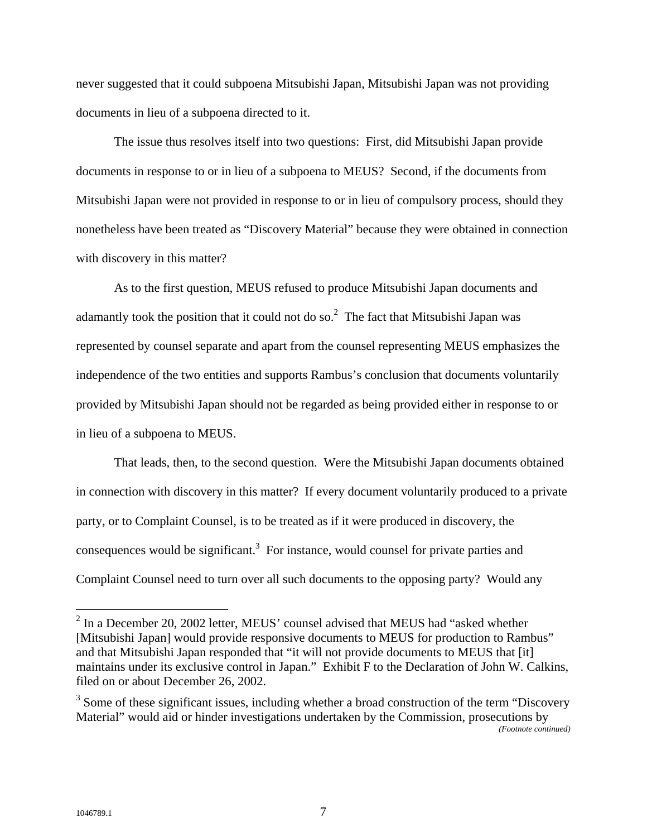never suggested that it could subpoena Mitsubishi Japan, Mitsubishi Japan was not providing documents in lieu of a subpoena directed to it.

The issue thus resolves itself into two questions: First, did Mitsubishi Japan provide documents in response to or in lieu of a subpoena to MEUS? Second, if the documents from Mitsubishi Japan were not provided in response to or in lieu of compulsory process, should they nonetheless have been treated as "Discovery Material" because they were obtained in connection with discovery in this matter?

As to the first question, MEUS refused to produce Mitsubishi Japan documents and adamantly took the position that it could not do so.<sup>2</sup> The fact that Mitsubishi Japan was represented by counsel separate and apart from the counsel representing MEUS emphasizes the independence of the two entities and supports Rambus's conclusion that documents voluntarily provided by Mitsubishi Japan should not be regarded as being provided either in response to or in lieu of a subpoena to MEUS.

That leads, then, to the second question. Were the Mitsubishi Japan documents obtained in connection with discovery in this matter? If every document voluntarily produced to a private party, or to Complaint Counsel, is to be treated as if it were produced in discovery, the consequences would be significant.<sup>3</sup> For instance, would counsel for private parties and Complaint Counsel need to turn over all such documents to the opposing party? Would any

 $\overline{a}$ 

 $2^2$  In a December 20, 2002 letter, MEUS' counsel advised that MEUS had "asked whether [Mitsubishi Japan] would provide responsive documents to MEUS for production to Rambus" and that Mitsubishi Japan responded that "it will not provide documents to MEUS that [it] maintains under its exclusive control in Japan." Exhibit F to the Declaration of John W. Calkins, filed on or about December 26, 2002.

 $3$  Some of these significant issues, including whether a broad construction of the term "Discovery" Material" would aid or hinder investigations undertaken by the Commission, prosecutions by *(Footnote continued)*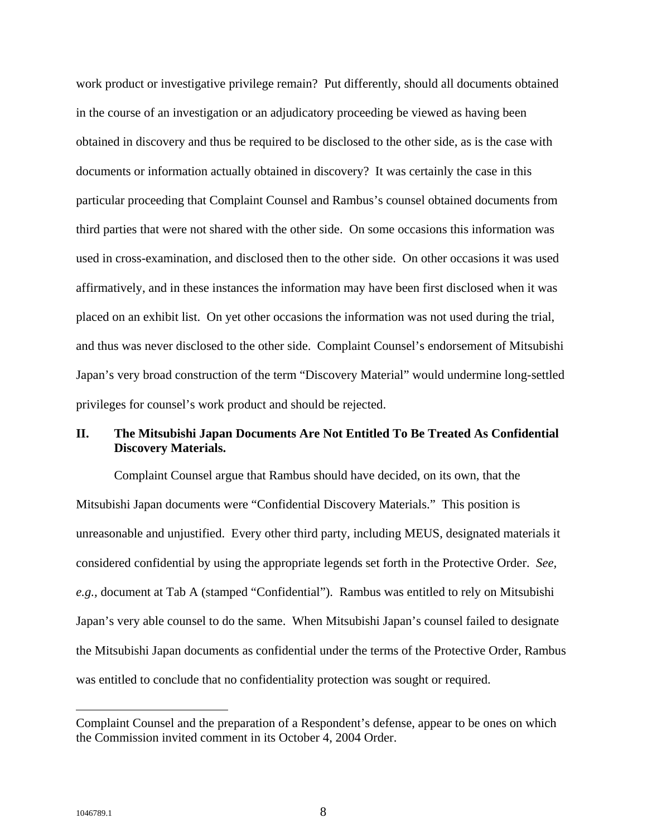work product or investigative privilege remain? Put differently, should all documents obtained in the course of an investigation or an adjudicatory proceeding be viewed as having been obtained in discovery and thus be required to be disclosed to the other side, as is the case with documents or information actually obtained in discovery? It was certainly the case in this particular proceeding that Complaint Counsel and Rambus's counsel obtained documents from third parties that were not shared with the other side. On some occasions this information was used in cross-examination, and disclosed then to the other side. On other occasions it was used affirmatively, and in these instances the information may have been first disclosed when it was placed on an exhibit list. On yet other occasions the information was not used during the trial, and thus was never disclosed to the other side. Complaint Counsel's endorsement of Mitsubishi Japan's very broad construction of the term "Discovery Material" would undermine long-settled privileges for counsel's work product and should be rejected.

# **II. The Mitsubishi Japan Documents Are Not Entitled To Be Treated As Confidential Discovery Materials.**

Complaint Counsel argue that Rambus should have decided, on its own, that the Mitsubishi Japan documents were "Confidential Discovery Materials." This position is unreasonable and unjustified. Every other third party, including MEUS, designated materials it considered confidential by using the appropriate legends set forth in the Protective Order. *See, e.g.,* document at Tab A (stamped "Confidential"). Rambus was entitled to rely on Mitsubishi Japan's very able counsel to do the same. When Mitsubishi Japan's counsel failed to designate the Mitsubishi Japan documents as confidential under the terms of the Protective Order, Rambus was entitled to conclude that no confidentiality protection was sought or required.

 $\overline{a}$ 

Complaint Counsel and the preparation of a Respondent's defense, appear to be ones on which the Commission invited comment in its October 4, 2004 Order.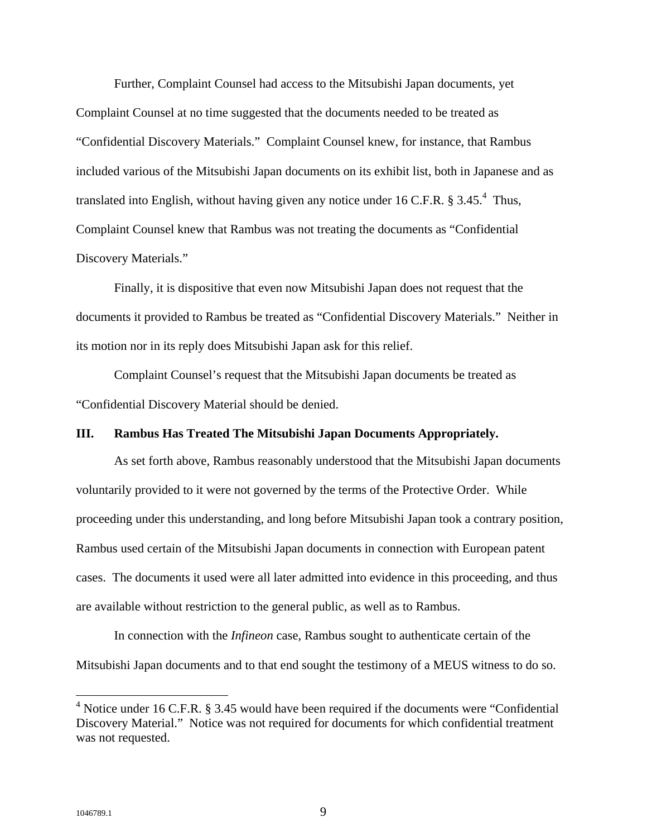Further, Complaint Counsel had access to the Mitsubishi Japan documents, yet Complaint Counsel at no time suggested that the documents needed to be treated as "Confidential Discovery Materials." Complaint Counsel knew, for instance, that Rambus included various of the Mitsubishi Japan documents on its exhibit list, both in Japanese and as translated into English, without having given any notice under 16 C.F.R.  $\S 3.45.^4$  Thus, Complaint Counsel knew that Rambus was not treating the documents as "Confidential Discovery Materials."

Finally, it is dispositive that even now Mitsubishi Japan does not request that the documents it provided to Rambus be treated as "Confidential Discovery Materials." Neither in its motion nor in its reply does Mitsubishi Japan ask for this relief.

Complaint Counsel's request that the Mitsubishi Japan documents be treated as "Confidential Discovery Material should be denied.

### **III. Rambus Has Treated The Mitsubishi Japan Documents Appropriately.**

As set forth above, Rambus reasonably understood that the Mitsubishi Japan documents voluntarily provided to it were not governed by the terms of the Protective Order. While proceeding under this understanding, and long before Mitsubishi Japan took a contrary position, Rambus used certain of the Mitsubishi Japan documents in connection with European patent cases. The documents it used were all later admitted into evidence in this proceeding, and thus are available without restriction to the general public, as well as to Rambus.

In connection with the *Infineon* case, Rambus sought to authenticate certain of the Mitsubishi Japan documents and to that end sought the testimony of a MEUS witness to do so.

1

 $4$  Notice under 16 C.F.R. § 3.45 would have been required if the documents were "Confidential" Discovery Material." Notice was not required for documents for which confidential treatment was not requested.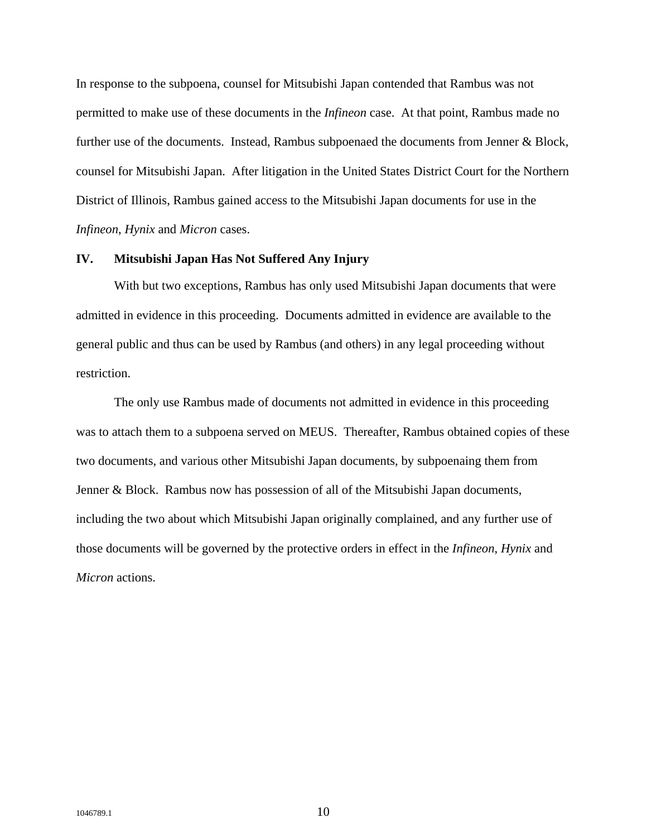In response to the subpoena, counsel for Mitsubishi Japan contended that Rambus was not permitted to make use of these documents in the *Infineon* case. At that point, Rambus made no further use of the documents. Instead, Rambus subpoenaed the documents from Jenner & Block, counsel for Mitsubishi Japan. After litigation in the United States District Court for the Northern District of Illinois, Rambus gained access to the Mitsubishi Japan documents for use in the *Infineon*, *Hynix* and *Micron* cases.

#### **IV. Mitsubishi Japan Has Not Suffered Any Injury**

With but two exceptions, Rambus has only used Mitsubishi Japan documents that were admitted in evidence in this proceeding. Documents admitted in evidence are available to the general public and thus can be used by Rambus (and others) in any legal proceeding without restriction.

The only use Rambus made of documents not admitted in evidence in this proceeding was to attach them to a subpoena served on MEUS. Thereafter, Rambus obtained copies of these two documents, and various other Mitsubishi Japan documents, by subpoenaing them from Jenner & Block. Rambus now has possession of all of the Mitsubishi Japan documents, including the two about which Mitsubishi Japan originally complained, and any further use of those documents will be governed by the protective orders in effect in the *Infineon*, *Hynix* and *Micron* actions.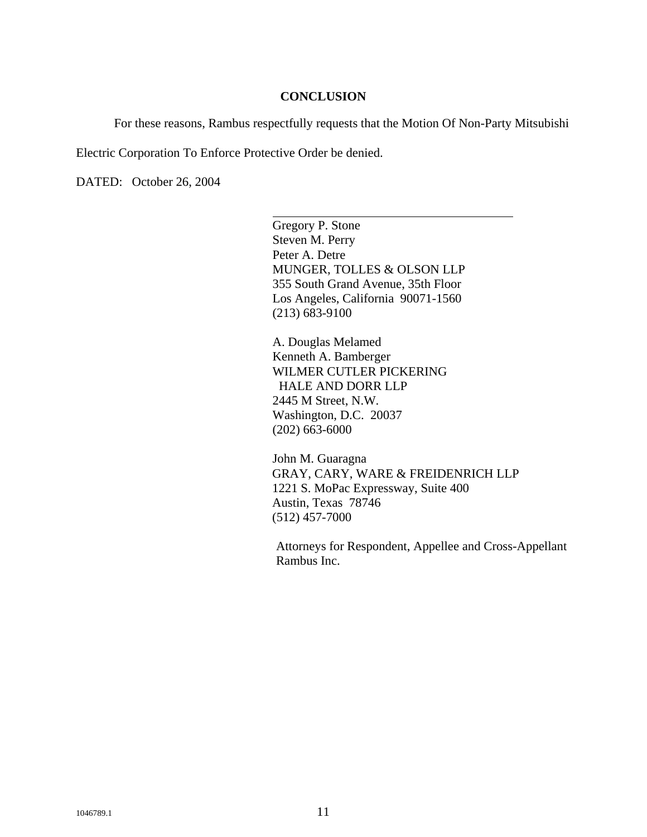### **CONCLUSION**

For these reasons, Rambus respectfully requests that the Motion Of Non-Party Mitsubishi

Electric Corporation To Enforce Protective Order be denied.

 $\overline{a}$ 

DATED: October 26, 2004

Gregory P. Stone Steven M. Perry Peter A. Detre MUNGER, TOLLES & OLSON LLP 355 South Grand Avenue, 35th Floor Los Angeles, California 90071-1560 (213) 683-9100

A. Douglas Melamed Kenneth A. Bamberger WILMER CUTLER PICKERING HALE AND DORR LLP 2445 M Street, N.W. Washington, D.C. 20037 (202) 663-6000

John M. Guaragna GRAY, CARY, WARE & FREIDENRICH LLP 1221 S. MoPac Expressway, Suite 400 Austin, Texas 78746 (512) 457-7000

Attorneys for Respondent, Appellee and Cross-Appellant Rambus Inc.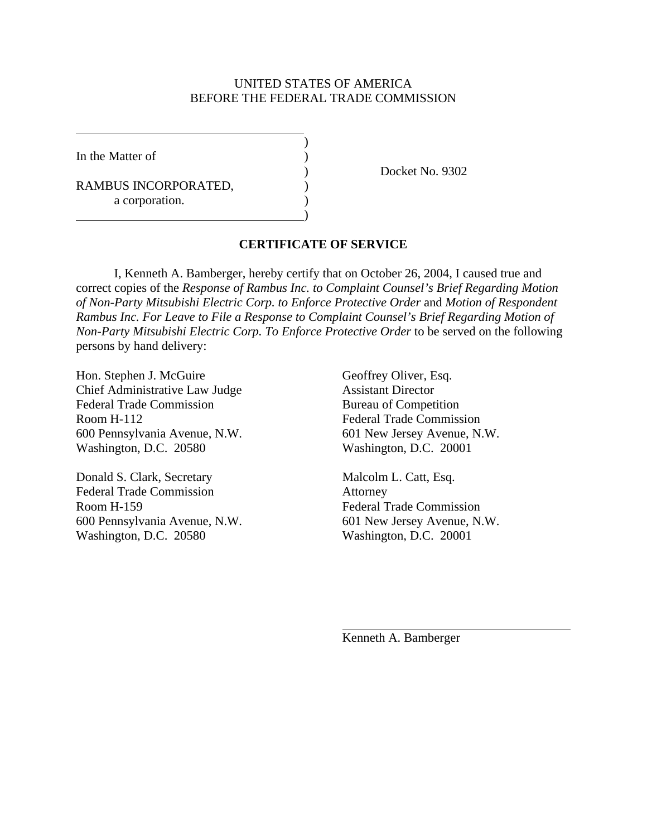## UNITED STATES OF AMERICA BEFORE THE FEDERAL TRADE COMMISSION

In the Matter of  $\qquad \qquad$  )

 $\overline{a}$ 

RAMBUS INCORPORATED, a corporation.

 $\overline{\phantom{a}}$ 

 $\hspace{1.5cm}$ ) and  $\hspace{1.5cm}$  and  $\hspace{1.5cm}$  and  $\hspace{1.5cm}$ 

) Docket No. 9302

# **CERTIFICATE OF SERVICE**

 I, Kenneth A. Bamberger, hereby certify that on October 26, 2004, I caused true and correct copies of the *Response of Rambus Inc. to Complaint Counsel's Brief Regarding Motion of Non-Party Mitsubishi Electric Corp. to Enforce Protective Order* and *Motion of Respondent Rambus Inc. For Leave to File a Response to Complaint Counsel's Brief Regarding Motion of Non-Party Mitsubishi Electric Corp. To Enforce Protective Order* to be served on the following persons by hand delivery:

Hon. Stephen J. McGuire Geoffrey Oliver, Esq. Chief Administrative Law Judge Assistant Director Federal Trade Commission Bureau of Competition Room H-112 Federal Trade Commission 600 Pennsylvania Avenue, N.W. 601 New Jersey Avenue, N.W. Washington, D.C. 20580 Washington, D.C. 20001

Donald S. Clark, Secretary Malcolm L. Catt, Esq. Federal Trade Commission Attorney Room H-159 Federal Trade Commission 600 Pennsylvania Avenue, N.W. 601 New Jersey Avenue, N.W. Washington, D.C. 20580 Washington, D.C. 20001

Kenneth A. Bamberger